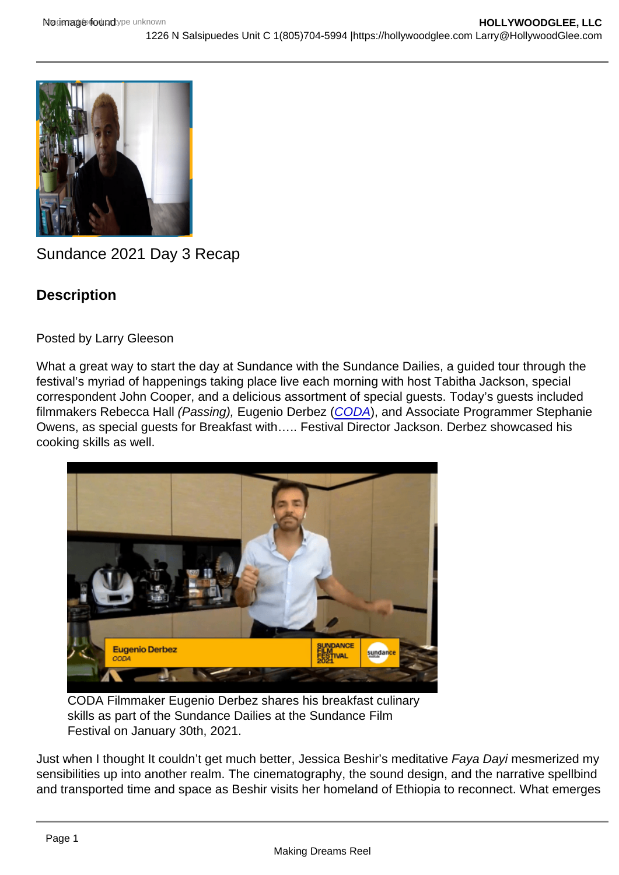# Sundance 2021 Day 3 Recap

**Description** 

Posted by Larry Gleeson

What a great way to start the day at Sundance with the Sundance Dailies, a guided tour through the festival's myriad of happenings taking place live each morning with host Tabitha Jackson, special correspondent John Cooper, and a delicious assortment of special guests. Today's guests included filmmakers Rebecca Hall (Passing), Eugenio Derbez ([CODA](https://hollywoodglee.com/2021/02/04/2021-sundance-film-festival-wrap/)), and Associate Programmer Stephanie Owens, as special guests for Breakfast with….. Festival Director Jackson. Derbez showcased his cooking skills as well.

CODA Filmmaker Eugenio Derbez shares his breakfast culinary skills as part of the Sundance Dailies at the Sundance Film Festival on January 30th, 2021.

Just when I thought It couldn't get much better, Jessica Beshir's meditative Faya Dayi mesmerized my sensibilities up into another realm. The cinematography, the sound design, and the narrative spellbind and transported time and space as Beshir visits her homeland of Ethiopia to reconnect. What emerges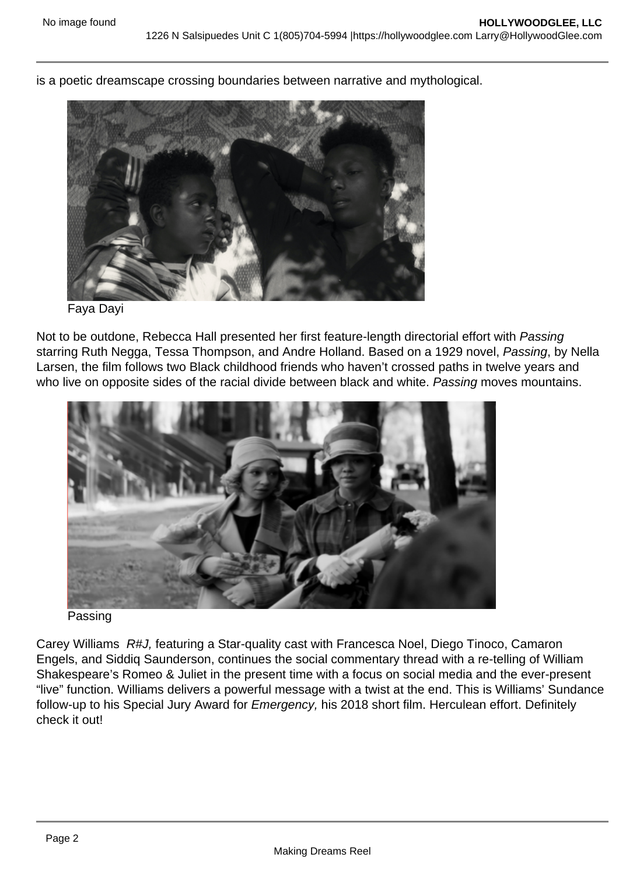is a poetic dreamscape crossing boundaries between narrative and mythological.

## Faya Dayi

Not to be outdone, Rebecca Hall presented her first feature-length directorial effort with Passing starring Ruth Negga, Tessa Thompson, and Andre Holland. Based on a 1929 novel, Passing, by Nella Larsen, the film follows two Black childhood friends who haven't crossed paths in twelve years and who live on opposite sides of the racial divide between black and white. Passing moves mountains.

#### Passing

Carey Williams R#J, featuring a Star-quality cast with Francesca Noel, Diego Tinoco, Camaron Engels, and Siddiq Saunderson, continues the social commentary thread with a re-telling of William Shakespeare's Romeo & Juliet in the present time with a focus on social media and the ever-present "live" function. Williams delivers a powerful message with a twist at the end. This is Williams' Sundance follow-up to his Special Jury Award for Emergency, his 2018 short film. Herculean effort. Definitely check it out!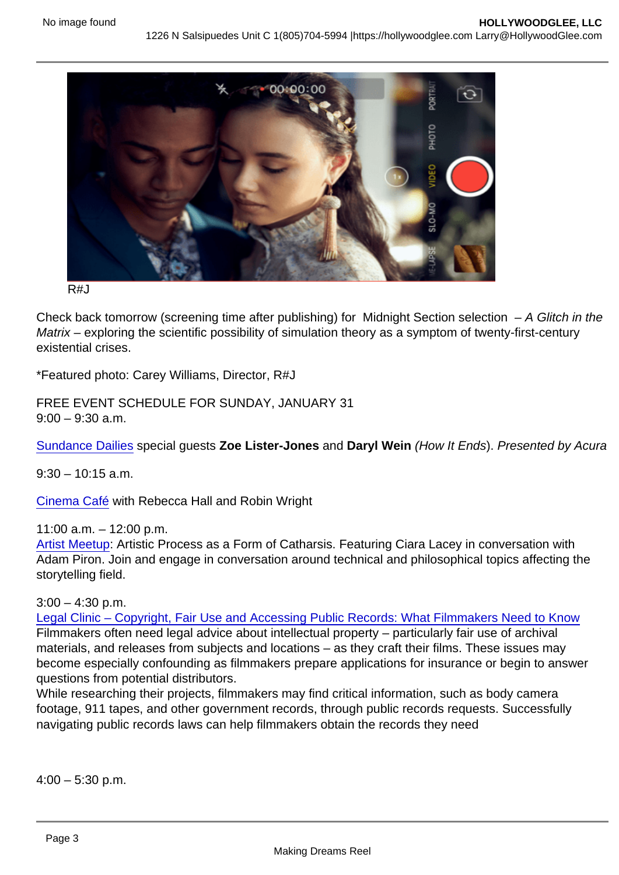R#J

Check back tomorrow (screening time after publishing) for Midnight Section selection – A Glitch in the Matrix – exploring the scientific possibility of simulation theory as a symptom of twenty-first-century existential crises.

\*Featured photo: Carey Williams, Director, R#J

FREE EVENT SCHEDULE FOR SUNDAY, JANUARY 31  $9:00 - 9:30$  a.m.

[Sundance Dailies](https://sundancecollab.lt.acemlna.com/Prod/link-tracker?redirectUrl=aHR0cHMlM0ElMkYlMkZmcGcuZmVzdGl2YWwuc3VuZGFuY2Uub3JnJTJGdGFsay1hbmQtZXZlbnRzLWluZm8lMkY2MDA5YTYyMTc0Yzc0YzU2MjYwNTFjMjYlM0Z1dG1fc291cmNlJTNETmV3c2xldHRlciUyNnV0bV9tZWRpdW0lM0RlbWFpbCUyNnV0bV9jb250ZW50JTNEU0ZGMjElMkJGcmVlJTJCRXZlbnQlMkJTY2hlZHVsZSUyQmZvciUyQkphbnVhcnklMkIzMSUyNnV0bV9jYW1wYWlnbiUzRENvJTI1MkYlMjUyRmFiJTJCLSUyQlNGRjIxJTJCQmV5b25kJTJCU2NyZWVuJTJCZm9yJTJCMSUyQjMxJTJCMjAxMA==&a=25966310&account=sundancecollab.activehosted.com&email=JkUIy/CjgRg9MNPpoFrQtTpxdzkQNl9LgdxZ9pnzLRY=&s=554001f7a49ab45b6a0553c3e16e0da7&i=111A200A16A2664) special guests Zoe Lister-Jones and Daryl Wein (How It Ends). Presented by Acura

 $9:30 - 10:15$  a.m.

[Cinema Café](https://sundancecollab.lt.acemlna.com/Prod/link-tracker?redirectUrl=aHR0cHMlM0ElMkYlMkZmcGcuZmVzdGl2YWwuc3VuZGFuY2Uub3JnJTJGdGFsay1hbmQtZXZlbnRzLWluZm8lMkY1ZmYzYTdhZTJkODVjMjM0OTg0MWU1YjQlM0Z1dG1fc291cmNlJTNETmV3c2xldHRlciUyNnV0bV9tZWRpdW0lM0RlbWFpbCUyNnV0bV9jb250ZW50JTNEU0ZGMjElMkJGcmVlJTJCRXZlbnQlMkJTY2hlZHVsZSUyQmZvciUyQkphbnVhcnklMkIzMSUyNnV0bV9jYW1wYWlnbiUzRENvJTI1MkYlMjUyRmFiJTJCLSUyQlNGRjIxJTJCQmV5b25kJTJCU2NyZWVuJTJCZm9yJTJCMSUyQjMxJTJCMjAxMA==&a=25966310&account=sundancecollab.activehosted.com&email=JkUIy/CjgRg9MNPpoFrQtTpxdzkQNl9LgdxZ9pnzLRY=&s=554001f7a49ab45b6a0553c3e16e0da7&i=111A200A16A2231) with Rebecca Hall and Robin Wright

11:00 a.m. – 12:00 p.m.

[Artist Meetup:](https://sundancecollab.lt.acemlna.com/Prod/link-tracker?redirectUrl=aHR0cHMlM0ElMkYlMkZ2aWxsYWdlLmZlc3RpdmFsLnN1bmRhbmNlLm9yZyUyRnBhbmVsLXZpZXclMkY1ZmYxMjkxZDgxZjRhZTc1YzBhOTU2NTUlM0Z1dG1fc291cmNlJTNETmV3c2xldHRlciUyNnV0bV9tZWRpdW0lM0RlbWFpbCUyNnV0bV9jb250ZW50JTNEU0ZGMjElMkJGcmVlJTJCRXZlbnQlMkJTY2hlZHVsZSUyQmZvciUyQkphbnVhcnklMkIzMSUyNnV0bV9jYW1wYWlnbiUzRENvJTI1MkYlMjUyRmFiJTJCLSUyQlNGRjIxJTJCQmV5b25kJTJCU2NyZWVuJTJCZm9yJTJCMSUyQjMxJTJCMjAxMA==&a=25966310&account=sundancecollab.activehosted.com&email=JkUIy/CjgRg9MNPpoFrQtTpxdzkQNl9LgdxZ9pnzLRY=&s=554001f7a49ab45b6a0553c3e16e0da7&i=111A200A16A2233) Artistic Process as a Form of Catharsis. Featuring Ciara Lacey in conversation with Adam Piron. Join and engage in conversation around technical and philosophical topics affecting the storytelling field.

 $3:00 - 4:30$  p.m.

[Legal Clinic – Copyright, Fair Use and Accessing Public Records: What Filmmakers Need to Know](https://sundancecollab.lt.acemlna.com/Prod/link-tracker?redirectUrl=aHR0cHMlM0ElMkYlMkZ2aWxsYWdlLmZlc3RpdmFsLnN1bmRhbmNlLm9yZyUyRnBhbmVsLXZpZXclMkY2MDA3Nzc3YzE0OTFjOGY3YzVjNGI2NjElM0Z1dG1fc291cmNlJTNETmV3c2xldHRlciUyNnV0bV9tZWRpdW0lM0RlbWFpbCUyNnV0bV9jb250ZW50JTNEU0ZGMjElMkJGcmVlJTJCRXZlbnQlMkJTY2hlZHVsZSUyQmZvciUyQkphbnVhcnklMkIzMSUyNnV0bV9jYW1wYWlnbiUzRENvJTI1MkYlMjUyRmFiJTJCLSUyQlNGRjIxJTJCQmV5b25kJTJCU2NyZWVuJTJCZm9yJTJCMSUyQjMxJTJCMjAxMA==&a=25966310&account=sundancecollab.activehosted.com&email=JkUIy/CjgRg9MNPpoFrQtTpxdzkQNl9LgdxZ9pnzLRY=&s=554001f7a49ab45b6a0553c3e16e0da7&i=111A200A16A2528) Filmmakers often need legal advice about intellectual property – particularly fair use of archival materials, and releases from subjects and locations – as they craft their films. These issues may become especially confounding as filmmakers prepare applications for insurance or begin to answer questions from potential distributors.

While researching their projects, filmmakers may find critical information, such as body camera footage, 911 tapes, and other government records, through public records requests. Successfully navigating public records laws can help filmmakers obtain the records they need

 $4:00 - 5:30$  p.m.